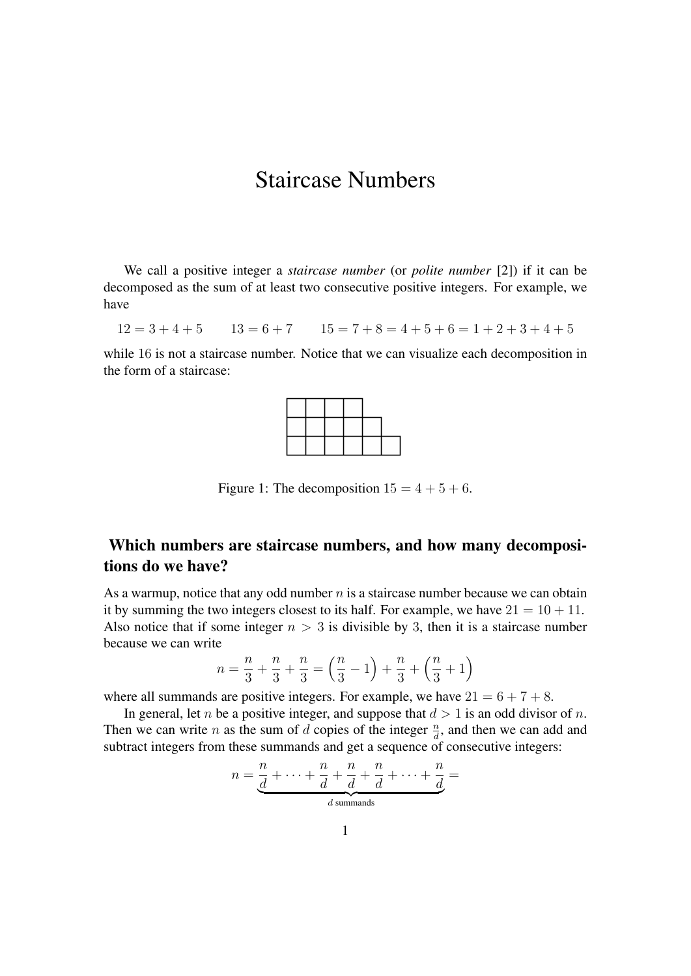## Staircase Numbers

We call a positive integer a *staircase number* (or *polite number* [\[2\]](#page-2-0)) if it can be decomposed as the sum of at least two consecutive positive integers. For example, we have

 $12 = 3 + 4 + 5$   $13 = 6 + 7$   $15 = 7 + 8 = 4 + 5 + 6 = 1 + 2 + 3 + 4 + 5$ 

while 16 is not a staircase number. Notice that we can visualize each decomposition in the form of a staircase:



Figure 1: The decomposition  $15 = 4 + 5 + 6$ .

#### Which numbers are staircase numbers, and how many decompositions do we have?

As a warmup, notice that any odd number  $n$  is a staircase number because we can obtain it by summing the two integers closest to its half. For example, we have  $21 = 10 + 11$ . Also notice that if some integer  $n > 3$  is divisible by 3, then it is a staircase number because we can write

$$
n = \frac{n}{3} + \frac{n}{3} + \frac{n}{3} = \left(\frac{n}{3} - 1\right) + \frac{n}{3} + \left(\frac{n}{3} + 1\right)
$$

where all summands are positive integers. For example, we have  $21 = 6 + 7 + 8$ .

In general, let *n* be a positive integer, and suppose that  $d > 1$  is an odd divisor of *n*. Then we can write *n* as the sum of *d* copies of the integer  $\frac{n}{d}$ , and then we can add and subtract integers from these summands and get a sequence of consecutive integers:

$$
n = \underbrace{\frac{n}{d} + \cdots + \frac{n}{d} + \frac{n}{d} + \frac{n}{d} + \cdots + \frac{n}{d}}_{d \text{ summands}} =
$$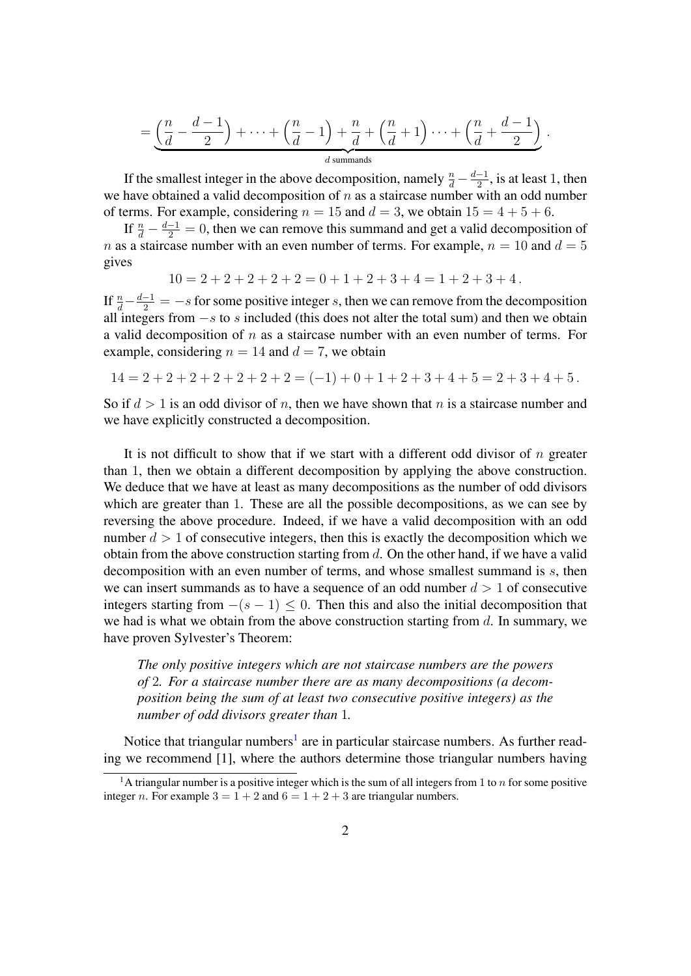$$
= \underbrace{\left(\frac{n}{d}-\frac{d-1}{2}\right)+\cdots+\left(\frac{n}{d}-1\right)+\frac{n}{d}+\left(\frac{n}{d}+1\right)\cdots+\left(\frac{n}{d}+\frac{d-1}{2}\right)}_{d \text{ summands}}.
$$

If the smallest integer in the above decomposition, namely  $\frac{n}{d} - \frac{d-1}{2}$  $\frac{-1}{2}$ , is at least 1, then we have obtained a valid decomposition of  $n$  as a staircase number with an odd number of terms. For example, considering  $n = 15$  and  $d = 3$ , we obtain  $15 = 4 + 5 + 6$ .

If  $\frac{n}{d} - \frac{d-1}{2} = 0$ , then we can remove this summand and get a valid decomposition of n as a staircase number with an even number of terms. For example,  $n = 10$  and  $d = 5$ gives

$$
10 = 2 + 2 + 2 + 2 + 2 = 0 + 1 + 2 + 3 + 4 = 1 + 2 + 3 + 4.
$$

If  $\frac{n}{d} - \frac{d-1}{2} = -s$  for some positive integer s, then we can remove from the decomposition all integers from  $-s$  to s included (this does not alter the total sum) and then we obtain a valid decomposition of  $n$  as a staircase number with an even number of terms. For example, considering  $n = 14$  and  $d = 7$ , we obtain

$$
14 = 2 + 2 + 2 + 2 + 2 + 2 + 2 = (-1) + 0 + 1 + 2 + 3 + 4 + 5 = 2 + 3 + 4 + 5.
$$

So if  $d > 1$  is an odd divisor of n, then we have shown that n is a staircase number and we have explicitly constructed a decomposition.

It is not difficult to show that if we start with a different odd divisor of  $n$  greater than 1, then we obtain a different decomposition by applying the above construction. We deduce that we have at least as many decompositions as the number of odd divisors which are greater than 1. These are all the possible decompositions, as we can see by reversing the above procedure. Indeed, if we have a valid decomposition with an odd number  $d > 1$  of consecutive integers, then this is exactly the decomposition which we obtain from the above construction starting from  $d$ . On the other hand, if we have a valid decomposition with an even number of terms, and whose smallest summand is s, then we can insert summands as to have a sequence of an odd number  $d > 1$  of consecutive integers starting from  $-(s - 1) \le 0$ . Then this and also the initial decomposition that we had is what we obtain from the above construction starting from  $d$ . In summary, we have proven Sylvester's Theorem:

*The only positive integers which are not staircase numbers are the powers of* 2*. For a staircase number there are as many decompositions (a decomposition being the sum of at least two consecutive positive integers) as the number of odd divisors greater than* 1*.*

Notice that triangular numbers<sup>[1](#page-1-0)</sup> are in particular staircase numbers. As further reading we recommend [\[1\]](#page-2-1), where the authors determine those triangular numbers having

<span id="page-1-0"></span><sup>&</sup>lt;sup>1</sup>A triangular number is a positive integer which is the sum of all integers from 1 to  $n$  for some positive integer *n*. For example  $3 = 1 + 2$  and  $6 = 1 + 2 + 3$  are triangular numbers.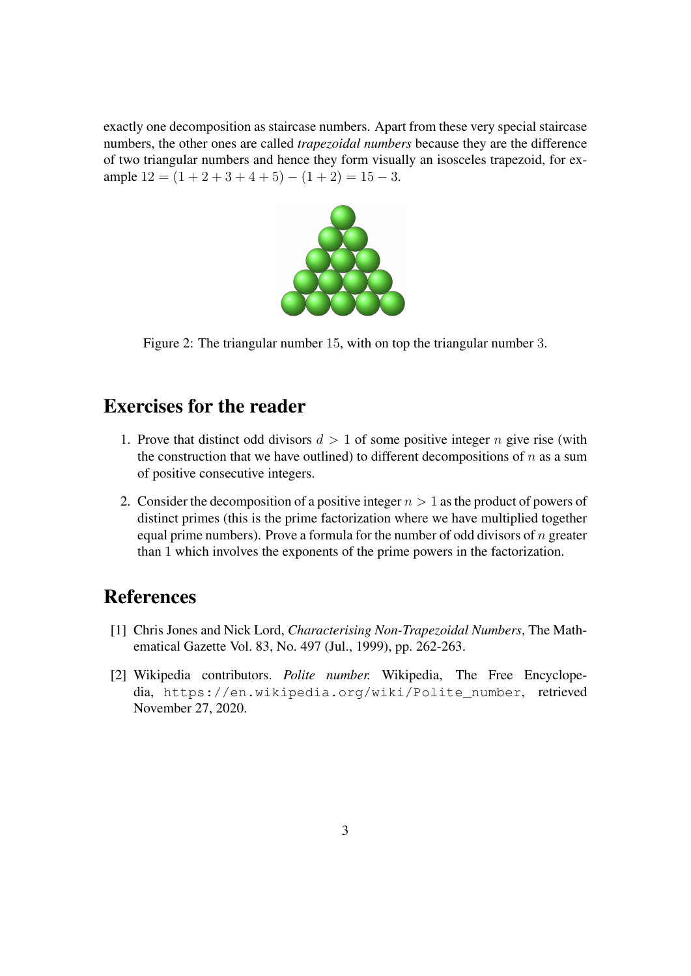exactly one decomposition as staircase numbers. Apart from these very special staircase numbers, the other ones are called *trapezoidal numbers* because they are the difference of two triangular numbers and hence they form visually an isosceles trapezoid, for example  $12 = (1 + 2 + 3 + 4 + 5) - (1 + 2) = 15 - 3$ .



Figure 2: The triangular number 15, with on top the triangular number 3.

#### Exercises for the reader

- 1. Prove that distinct odd divisors  $d > 1$  of some positive integer n give rise (with the construction that we have outlined) to different decompositions of  $n$  as a sum of positive consecutive integers.
- 2. Consider the decomposition of a positive integer  $n > 1$  as the product of powers of distinct primes (this is the prime factorization where we have multiplied together equal prime numbers). Prove a formula for the number of odd divisors of  $n$  greater than 1 which involves the exponents of the prime powers in the factorization.

# References

- <span id="page-2-1"></span>[1] Chris Jones and Nick Lord, *Characterising Non-Trapezoidal Numbers*, The Mathematical Gazette Vol. 83, No. 497 (Jul., 1999), pp. 262-263.
- <span id="page-2-0"></span>[2] Wikipedia contributors. *Polite number.* Wikipedia, The Free Encyclopedia, [https://en.wikipedia.org/wiki/Polite\\_number](https://en.wikipedia.org/wiki/Polite_number), retrieved November 27, 2020.